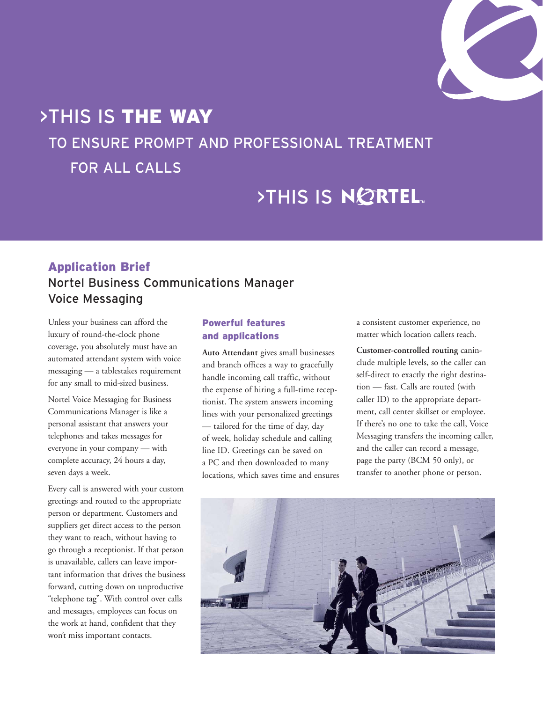

# >THIS IS THE WAY

# TO ENSURE PROMPT AND PROFESSIONAL TREATMENT

FOR ALL CALLS

# >THIS IS NORTEL

## Application Brief Nortel Business Communications Manager Voice Messaging

Unless your business can afford the luxury of round-the-clock phone coverage, you absolutely must have an automated attendant system with voice messaging — a tablestakes requirement for any small to mid-sized business.

Nortel Voice Messaging for Business Communications Manager is like a personal assistant that answers your telephones and takes messages for everyone in your company — with complete accuracy, 24 hours a day, seven days a week.

Every call is answered with your custom greetings and routed to the appropriate person or department. Customers and suppliers get direct access to the person they want to reach, without having to go through a receptionist. If that person is unavailable, callers can leave important information that drives the business forward, cutting down on unproductive "telephone tag". With control over calls and messages, employees can focus on the work at hand, confident that they won't miss important contacts.

## Powerful features and applications

**Auto Attendant** gives small businesses and branch offices a way to gracefully handle incoming call traffic, without the expense of hiring a full-time receptionist. The system answers incoming lines with your personalized greetings — tailored for the time of day, day of week, holiday schedule and calling line ID. Greetings can be saved on a PC and then downloaded to many locations, which saves time and ensures a consistent customer experience, no matter which location callers reach.

**Customer-controlled routing** caninclude multiple levels, so the caller can self-direct to exactly the right destination — fast. Calls are routed (with caller ID) to the appropriate department, call center skillset or employee. If there's no one to take the call, Voice Messaging transfers the incoming caller, and the caller can record a message, page the party (BCM 50 only), or transfer to another phone or person.